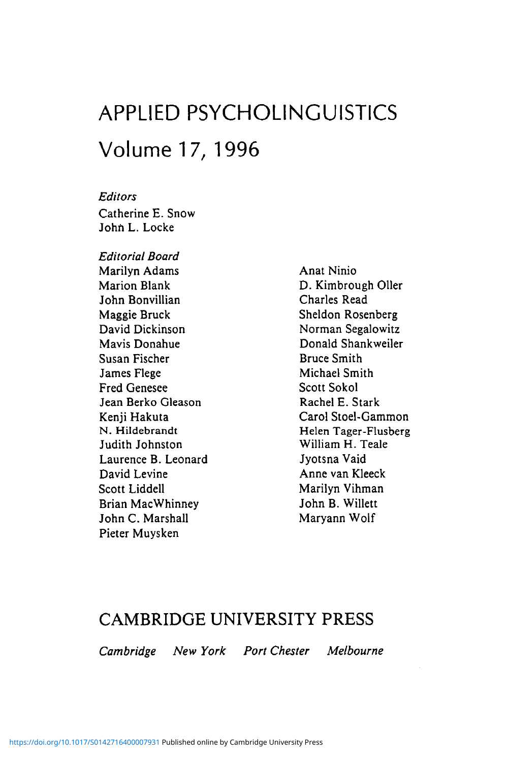## APPLIED PSYCHOLINGUISTICS Volume 17, 1996

*Editors* Catherine E. Snow John L. Locke

*Editorial Board* Marilyn Adams Marion Blank John Bonvillian Maggie Bruck David Dickinson Mavis Donahue Susan Fischer James Flege Fred Genesee Jean Berko Gleason Kenji Hakuta N. Hildebrandt Judith Johnston Laurence B. Leonard David Levine Scott Liddell Brian MacWhinney John C. Marshall Pieter Muysken

Anat Ninio D. Kimbrough Oiler Charles Read Sheldon Rosenberg Norman Segalowitz Donald Shankweiler Bruce Smith Michael Smith Scott Sokol Rachel E. Stark Carol Stoel-Gammon Helen Tager-Flusberg William H. Teale Jyotsna Vaid Anne van Kleeck Marilyn Vihman John B. Willett Maryann Wolf

## CAMBRIDGE UNIVERSITY PRESS

*Cambridge New York Port Chester Melbourne*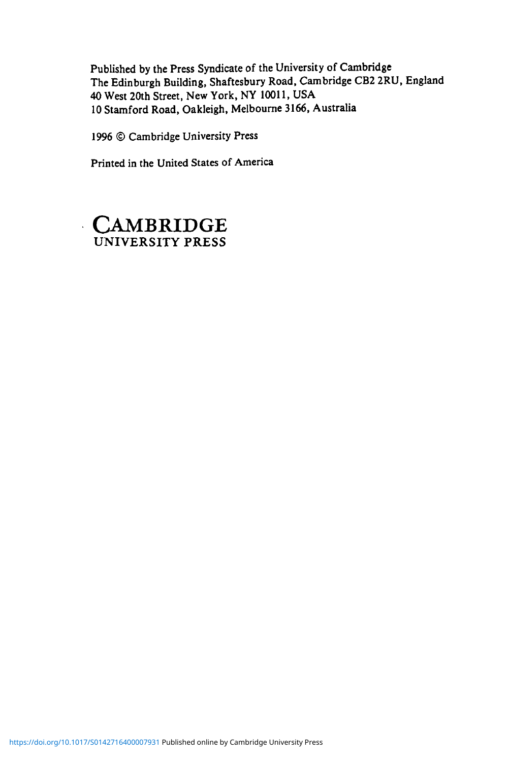Published by the Press Syndicate of the University of Cambridge The Edinburgh Building, Shaftesbury Road, Cambridge CB2 2RU, England 40 West 20th Street, New York, NY 10011, USA

1996 © Cambridge University Press

Printed in the United States of America

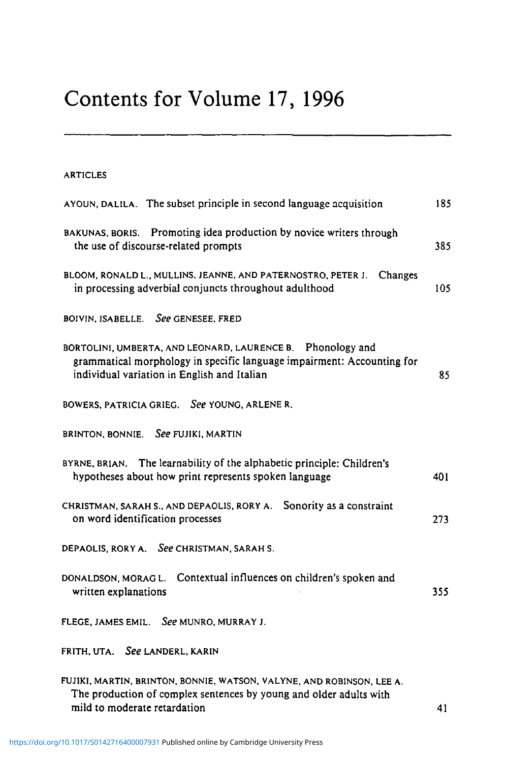## Contents for Volume 17, 1996

| <b>ARTICLES</b> |  |
|-----------------|--|
|-----------------|--|

| AYOUN, DALILA. The subset principle in second language acquisition                                                                                                                  | 185 |
|-------------------------------------------------------------------------------------------------------------------------------------------------------------------------------------|-----|
| BAKUNAS, BORIS. Promoting idea production by novice writers through<br>the use of discourse-related prompts                                                                         | 385 |
| BLOOM, RONALD L., MULLINS, JEANNE, AND PATERNOSTRO, PETER J.<br>Changes<br>in processing adverbial conjuncts throughout adulthood                                                   | 105 |
| BOIVIN, ISABELLE. See GENESEE, FRED                                                                                                                                                 |     |
| BORTOLINI, UMBERTA, AND LEONARD, LAURENCE B. Phonology and<br>grammatical morphology in specific language impairment: Accounting for<br>individual variation in English and Italian | 85  |
| BOWERS, PATRICIA GRIEG. See YOUNG, ARLENE R.                                                                                                                                        |     |
| See FUJIKI, MARTIN<br>BRINTON, BONNIE.                                                                                                                                              |     |
| BYRNE, BRIAN. The learnability of the alphabetic principle: Children's<br>hypotheses about how print represents spoken language                                                     | 401 |
| CHRISTMAN, SARAH S., AND DEPAOLIS, RORY A. Sonority as a constraint<br>on word identification processes                                                                             | 273 |
| DEPAOLIS, RORY A. See CHRISTMAN, SARAH S.                                                                                                                                           |     |
| Contextual influences on children's spoken and<br>DONALDSON, MORAGL.<br>written explanations                                                                                        | 355 |
| FLEGE, JAMES EMIL. See MUNRO, MURRAY J.                                                                                                                                             |     |
| FRITH, UTA. See LANDERL, KARIN                                                                                                                                                      |     |
| FUJIKI, MARTIN, BRINTON, BONNIE, WATSON, VALYNE, AND ROBINSON, LEE A.<br>The production of complex sentences by young and older adults with                                         |     |

mild to moderate retardation and the state of the state of the 41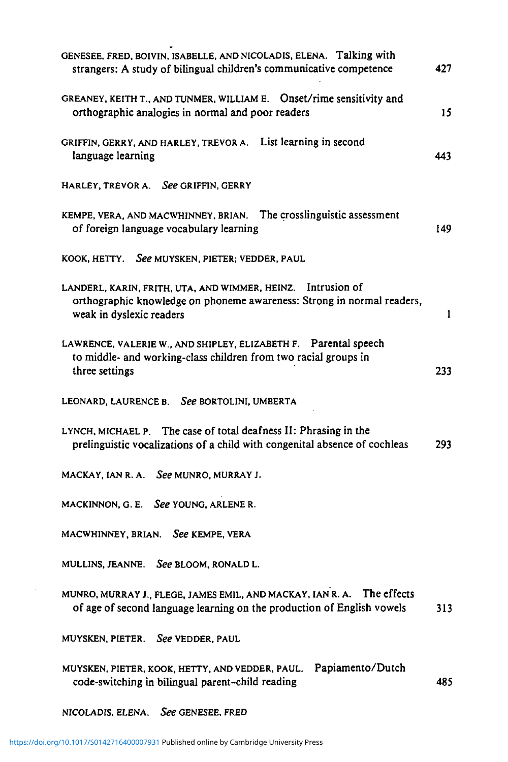| GENESEE, FRED, BOIVIN, ISABELLE, AND NICOLADIS, ELENA. Talking with<br>strangers: A study of bilingual children's communicative competence                        | 427 |
|-------------------------------------------------------------------------------------------------------------------------------------------------------------------|-----|
| GREANEY, KEITH T., AND TUNMER, WILLIAM E. Onset/rime sensitivity and<br>orthographic analogies in normal and poor readers                                         | 15  |
| GRIFFIN, GERRY, AND HARLEY, TREVOR A. List learning in second<br>language learning                                                                                | 443 |
| HARLEY, TREVOR A. See GRIFFIN, GERRY                                                                                                                              |     |
| KEMPE, VERA, AND MACWHINNEY, BRIAN. The crosslinguistic assessment<br>of foreign language vocabulary learning                                                     | 149 |
| KOOK, HETTY. See MUYSKEN, PIETER; VEDDER, PAUL                                                                                                                    |     |
| LANDERL, KARIN, FRITH, UTA, AND WIMMER, HEINZ. Intrusion of<br>orthographic knowledge on phoneme awareness: Strong in normal readers,<br>weak in dyslexic readers | 1   |
| LAWRENCE, VALERIE W., AND SHIPLEY, ELIZABETH F. Parental speech<br>to middle- and working-class children from two racial groups in<br>three settings              | 233 |
| LEONARD, LAURENCE B. See BORTOLINI, UMBERTA                                                                                                                       |     |
| LYNCH, MICHAEL P. The case of total deafness II: Phrasing in the<br>prelinguistic vocalizations of a child with congenital absence of cochleas                    | 293 |
| MACKAY, IAN R. A. See MUNRO, MURRAY J.                                                                                                                            |     |
| MACKINNON, G. E. See YOUNG, ARLENE R.                                                                                                                             |     |
| MACWHINNEY, BRIAN. See KEMPE, VERA                                                                                                                                |     |
| MULLINS, JEANNE. See BLOOM, RONALD L.                                                                                                                             |     |
| MUNRO, MURRAY J., FLEGE, JAMES EMIL, AND MACKAY, IAN R. A. The effects<br>of age of second language learning on the production of English vowels                  | 313 |
| See VEDDER, PAUL<br>MUYSKEN, PIETER.                                                                                                                              |     |
| Papiamento/Dutch<br>MUYSKEN, PIETER, KOOK, HETTY, AND VEDDER, PAUL.<br>code-switching in bilingual parent-child reading                                           | 485 |
| See GENESEE, FRED<br>NICOLADIS, ELENA.                                                                                                                            |     |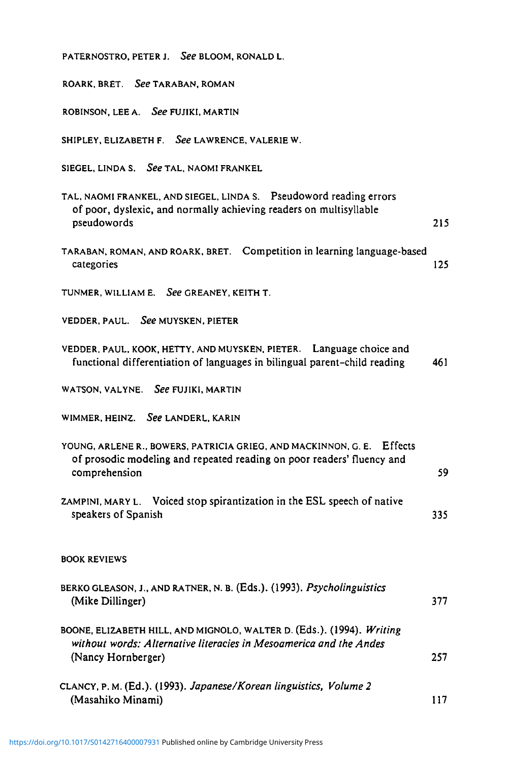| PATERNOSTRO, PETER J. See BLOOM, RONALD L.                                                                                                                        |     |
|-------------------------------------------------------------------------------------------------------------------------------------------------------------------|-----|
| ROARK, BRET. See TARABAN, ROMAN                                                                                                                                   |     |
| ROBINSON, LEE A. See FUJIKI, MARTIN                                                                                                                               |     |
| SHIPLEY, ELIZABETH F. See LAWRENCE, VALERIE W.                                                                                                                    |     |
| SIEGEL, LINDA S. See TAL, NAOMI FRANKEL                                                                                                                           |     |
| TAL, NAOMI FRANKEL, AND SIEGEL, LINDA S. Pseudoword reading errors<br>of poor, dyslexic, and normally achieving readers on multisyllable<br>pseudowords           | 215 |
| TARABAN, ROMAN, AND ROARK, BRET. Competition in learning language-based<br>categories                                                                             | 125 |
| TUNMER, WILLIAM E. See GREANEY, KEITH T.                                                                                                                          |     |
| VEDDER, PAUL. See MUYSKEN, PIETER                                                                                                                                 |     |
| VEDDER, PAUL, KOOK, HETTY, AND MUYSKEN, PIETER. Language choice and<br>functional differentiation of languages in bilingual parent-child reading                  | 461 |
| WATSON, VALYNE. See FUJIKI, MARTIN                                                                                                                                |     |
| WIMMER, HEINZ. See LANDERL, KARIN                                                                                                                                 |     |
| YOUNG, ARLENE R., BOWERS, PATRICIA GRIEG, AND MACKINNON, G. E. Effects<br>of prosodic modeling and repeated reading on poor readers' fluency and<br>comprehension | 59  |
| ZAMPINI, MARY L. Voiced stop spirantization in the ESL speech of native<br>speakers of Spanish                                                                    | 335 |
| <b>BOOK REVIEWS</b>                                                                                                                                               |     |
| BERKO GLEASON, J., AND RATNER, N. B. (Eds.). (1993). Psycholinguistics<br>(Mike Dillinger)                                                                        | 377 |
| BOONE, ELIZABETH HILL, AND MIGNOLO, WALTER D. (Eds.). (1994). Writing<br>without words: Alternative literacies in Mesoamerica and the Andes<br>(Nancy Hornberger) | 257 |
| CLANCY, P. M. (Ed.). (1993). Japanese/Korean linguistics, Volume 2<br>(Masahiko Minami)                                                                           | 117 |